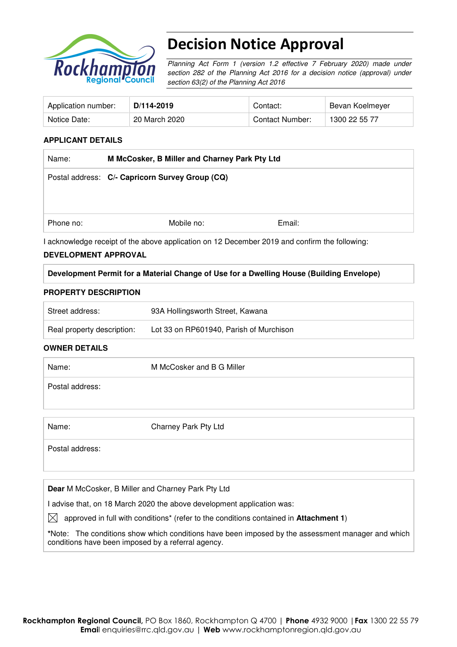

# Decision Notice Approval

Planning Act Form 1 (version 1.2 effective 7 February 2020) made under section 282 of the Planning Act 2016 for a decision notice (approval) under section 63(2) of the Planning Act 2016

| Application number: | D/114-2019    | Contact:        | Bevan Koelmeyer |
|---------------------|---------------|-----------------|-----------------|
| Notice Date:        | 20 March 2020 | Contact Number: | 1300 22 55 77   |

### **APPLICANT DETAILS**

| Name:     | M McCosker, B Miller and Charney Park Pty Ltd                                                 |        |  |  |
|-----------|-----------------------------------------------------------------------------------------------|--------|--|--|
|           | Postal address: C/- Capricorn Survey Group (CQ)                                               |        |  |  |
|           |                                                                                               |        |  |  |
|           |                                                                                               |        |  |  |
| Phone no: | Mobile no:                                                                                    | Email: |  |  |
|           | I acknowledge receipt of the above application on 12 December 2019 and confirm the following: |        |  |  |

#### **DEVELOPMENT APPROVAL**

### **Development Permit for a Material Change of Use for a Dwelling House (Building Envelope)**

#### **PROPERTY DESCRIPTION**

| Street address:            | 93A Hollingsworth Street, Kawana        |
|----------------------------|-----------------------------------------|
| Real property description: | Lot 33 on RP601940, Parish of Murchison |

#### **OWNER DETAILS**

| Name:           | M McCosker and B G Miller |  |
|-----------------|---------------------------|--|
| Postal address: |                           |  |

| Name |  |  |  |
|------|--|--|--|
|      |  |  |  |

Charney Park Pty Ltd

Postal address:

**Dear** M McCosker, B Miller and Charney Park Pty Ltd

I advise that, on 18 March 2020 the above development application was:

 $\boxtimes$  approved in full with conditions<sup>\*</sup> (refer to the conditions contained in **Attachment 1**)

**\***Note:The conditions show which conditions have been imposed by the assessment manager and which conditions have been imposed by a referral agency.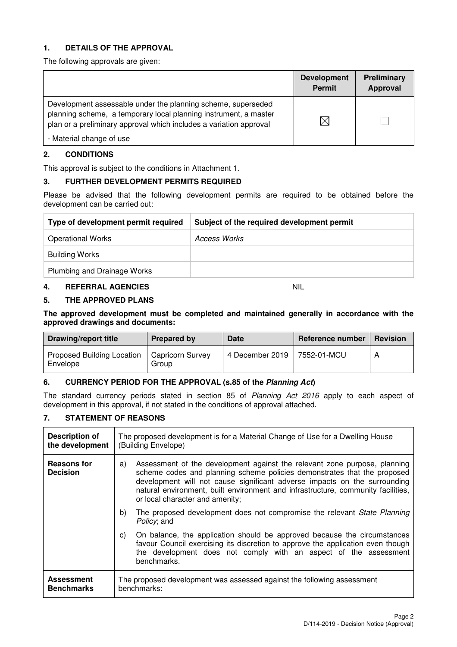### **1. DETAILS OF THE APPROVAL**

The following approvals are given:

|                                                                                                                                                                                                        | <b>Development</b><br><b>Permit</b> | Preliminary<br>Approval |
|--------------------------------------------------------------------------------------------------------------------------------------------------------------------------------------------------------|-------------------------------------|-------------------------|
| Development assessable under the planning scheme, superseded<br>planning scheme, a temporary local planning instrument, a master<br>plan or a preliminary approval which includes a variation approval | $\Join$                             |                         |
| - Material change of use                                                                                                                                                                               |                                     |                         |

### **2. CONDITIONS**

This approval is subject to the conditions in Attachment 1.

#### **3. FURTHER DEVELOPMENT PERMITS REQUIRED**

Please be advised that the following development permits are required to be obtained before the development can be carried out:

| Type of development permit required | Subject of the required development permit |
|-------------------------------------|--------------------------------------------|
| <b>Operational Works</b>            | Access Works                               |
| <b>Building Works</b>               |                                            |
| Plumbing and Drainage Works         |                                            |

#### **4. REFERRAL AGENCIES** NIL

#### **5. THE APPROVED PLANS**

**The approved development must be completed and maintained generally in accordance with the approved drawings and documents:** 

| Drawing/report title                          | Prepared by               | Date            | Reference number | <b>Revision</b> |
|-----------------------------------------------|---------------------------|-----------------|------------------|-----------------|
| <b>Proposed Building Location</b><br>Envelope | Capricorn Survey<br>Group | 4 December 2019 | 7552-01-MCU      |                 |

# **6. CURRENCY PERIOD FOR THE APPROVAL (s.85 of the Planning Act)**

The standard currency periods stated in section 85 of Planning Act 2016 apply to each aspect of development in this approval, if not stated in the conditions of approval attached.

# **7. STATEMENT OF REASONS**

| <b>Description of</b><br>the development | The proposed development is for a Material Change of Use for a Dwelling House<br>(Building Envelope)                                                                                                                                                                                                                                                            |  |  |
|------------------------------------------|-----------------------------------------------------------------------------------------------------------------------------------------------------------------------------------------------------------------------------------------------------------------------------------------------------------------------------------------------------------------|--|--|
| <b>Reasons for</b><br><b>Decision</b>    | Assessment of the development against the relevant zone purpose, planning<br>a)<br>scheme codes and planning scheme policies demonstrates that the proposed<br>development will not cause significant adverse impacts on the surrounding<br>natural environment, built environment and infrastructure, community facilities,<br>or local character and amenity; |  |  |
|                                          | The proposed development does not compromise the relevant State Planning<br>b)<br>Policy; and                                                                                                                                                                                                                                                                   |  |  |
|                                          | On balance, the application should be approved because the circumstances<br>C)<br>favour Council exercising its discretion to approve the application even though<br>the development does not comply with an aspect of the assessment<br>benchmarks.                                                                                                            |  |  |
| <b>Assessment</b><br><b>Benchmarks</b>   | The proposed development was assessed against the following assessment<br>benchmarks:                                                                                                                                                                                                                                                                           |  |  |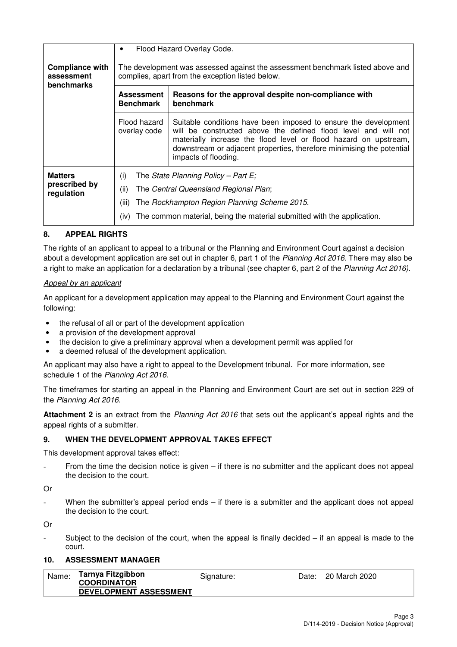|                                                           | Flood Hazard Overlay Code.                                                                                                         |                                                                                                                                                                                                                                                                                                        |  |  |  |  |
|-----------------------------------------------------------|------------------------------------------------------------------------------------------------------------------------------------|--------------------------------------------------------------------------------------------------------------------------------------------------------------------------------------------------------------------------------------------------------------------------------------------------------|--|--|--|--|
| <b>Compliance with</b><br>assessment<br><b>benchmarks</b> | The development was assessed against the assessment benchmark listed above and<br>complies, apart from the exception listed below. |                                                                                                                                                                                                                                                                                                        |  |  |  |  |
|                                                           | Reasons for the approval despite non-compliance with<br><b>Assessment</b><br>benchmark<br><b>Benchmark</b>                         |                                                                                                                                                                                                                                                                                                        |  |  |  |  |
|                                                           | Flood hazard<br>overlay code                                                                                                       | Suitable conditions have been imposed to ensure the development<br>will be constructed above the defined flood level and will not<br>materially increase the flood level or flood hazard on upstream,<br>downstream or adjacent properties, therefore minimising the potential<br>impacts of flooding. |  |  |  |  |
| <b>Matters</b><br>prescribed by<br>regulation             | (i)<br>(ii)<br>(iii)<br>(iv)                                                                                                       | The State Planning Policy – Part E;<br>The Central Queensland Regional Plan;<br>The Rockhampton Region Planning Scheme 2015.<br>The common material, being the material submitted with the application.                                                                                                |  |  |  |  |

# **8. APPEAL RIGHTS**

The rights of an applicant to appeal to a tribunal or the Planning and Environment Court against a decision about a development application are set out in chapter 6, part 1 of the Planning Act 2016. There may also be a right to make an application for a declaration by a tribunal (see chapter 6, part 2 of the Planning Act 2016).

#### Appeal by an applicant

An applicant for a development application may appeal to the Planning and Environment Court against the following:

- the refusal of all or part of the development application
- a provision of the development approval
- the decision to give a preliminary approval when a development permit was applied for
- a deemed refusal of the development application.

An applicant may also have a right to appeal to the Development tribunal. For more information, see schedule 1 of the Planning Act 2016.

The timeframes for starting an appeal in the Planning and Environment Court are set out in section 229 of the Planning Act 2016.

**Attachment 2** is an extract from the Planning Act 2016 that sets out the applicant's appeal rights and the appeal rights of a submitter.

#### **9. WHEN THE DEVELOPMENT APPROVAL TAKES EFFECT**

This development approval takes effect:

From the time the decision notice is given  $-$  if there is no submitter and the applicant does not appeal the decision to the court.

Or

When the submitter's appeal period ends  $-$  if there is a submitter and the applicant does not appeal the decision to the court.

Or

Subject to the decision of the court, when the appeal is finally decided  $-$  if an appeal is made to the court.

### **10. ASSESSMENT MANAGER**

| Name: | Tarnya Fitzgibbon<br><b>COORDINATOR</b> | Signature: | Date: 20 March 2020 |
|-------|-----------------------------------------|------------|---------------------|
|       | DEVELOPMENT ASSESSMENT                  |            |                     |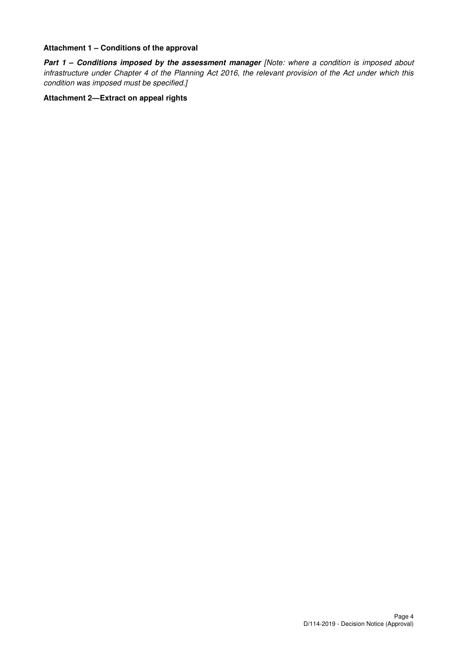#### **Attachment 1 – Conditions of the approval**

**Part 1 - Conditions imposed by the assessment manager [Note: where a condition is imposed about** infrastructure under Chapter 4 of the Planning Act 2016, the relevant provision of the Act under which this condition was imposed must be specified.]

# **Attachment 2—Extract on appeal rights**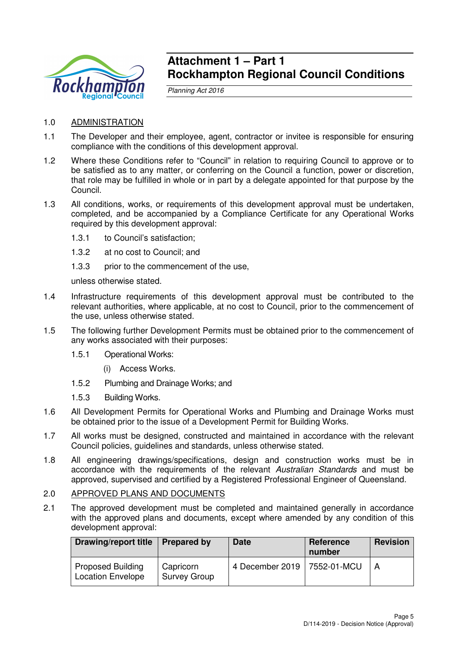

# **Attachment 1 – Part 1 Rockhampton Regional Council Conditions**

Planning Act 2016

- 1.0 ADMINISTRATION
- 1.1 The Developer and their employee, agent, contractor or invitee is responsible for ensuring compliance with the conditions of this development approval.
- 1.2 Where these Conditions refer to "Council" in relation to requiring Council to approve or to be satisfied as to any matter, or conferring on the Council a function, power or discretion, that role may be fulfilled in whole or in part by a delegate appointed for that purpose by the Council.
- 1.3 All conditions, works, or requirements of this development approval must be undertaken, completed, and be accompanied by a Compliance Certificate for any Operational Works required by this development approval:
	- 1.3.1 to Council's satisfaction;
	- 1.3.2 at no cost to Council; and
	- 1.3.3 prior to the commencement of the use,

unless otherwise stated.

- 1.4 Infrastructure requirements of this development approval must be contributed to the relevant authorities, where applicable, at no cost to Council, prior to the commencement of the use, unless otherwise stated.
- 1.5 The following further Development Permits must be obtained prior to the commencement of any works associated with their purposes:
	- 1.5.1 Operational Works:
		- (i) Access Works.
	- 1.5.2 Plumbing and Drainage Works; and
	- 1.5.3 Building Works.
- 1.6 All Development Permits for Operational Works and Plumbing and Drainage Works must be obtained prior to the issue of a Development Permit for Building Works.
- 1.7 All works must be designed, constructed and maintained in accordance with the relevant Council policies, guidelines and standards, unless otherwise stated.
- 1.8 All engineering drawings/specifications, design and construction works must be in accordance with the requirements of the relevant Australian Standards and must be approved, supervised and certified by a Registered Professional Engineer of Queensland.

#### 2.0 APPROVED PLANS AND DOCUMENTS

2.1 The approved development must be completed and maintained generally in accordance with the approved plans and documents, except where amended by any condition of this development approval:

| <b>Drawing/report title</b>                          | Prepared by                      | <b>Date</b>                   | Reference<br>number | <b>Revision</b> |
|------------------------------------------------------|----------------------------------|-------------------------------|---------------------|-----------------|
| <b>Proposed Building</b><br><b>Location Envelope</b> | Capricorn<br><b>Survey Group</b> | 4 December 2019   7552-01-MCU |                     |                 |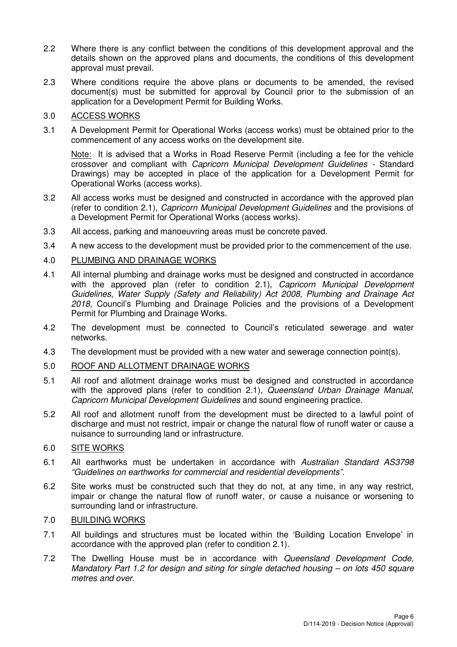- 2.2 Where there is any conflict between the conditions of this development approval and the details shown on the approved plans and documents, the conditions of this development approval must prevail.
- 2.3 Where conditions require the above plans or documents to be amended, the revised document(s) must be submitted for approval by Council prior to the submission of an application for a Development Permit for Building Works.

# 3.0 ACCESS WORKS

3.1 A Development Permit for Operational Works (access works) must be obtained prior to the commencement of any access works on the development site.

Note: It is advised that a Works in Road Reserve Permit (including a fee for the vehicle crossover and compliant with Capricorn Municipal Development Guidelines - Standard Drawings) may be accepted in place of the application for a Development Permit for Operational Works (access works).

- 3.2 All access works must be designed and constructed in accordance with the approved plan (refer to condition 2.1), Capricorn Municipal Development Guidelines and the provisions of a Development Permit for Operational Works (access works).
- 3.3 All access, parking and manoeuvring areas must be concrete paved.
- 3.4 A new access to the development must be provided prior to the commencement of the use.

# 4.0 PLUMBING AND DRAINAGE WORKS

- 4.1 All internal plumbing and drainage works must be designed and constructed in accordance with the approved plan (refer to condition 2.1), Capricorn Municipal Development Guidelines, Water Supply (Safety and Reliability) Act 2008, Plumbing and Drainage Act 2018, Council's Plumbing and Drainage Policies and the provisions of a Development Permit for Plumbing and Drainage Works.
- 4.2 The development must be connected to Council's reticulated sewerage and water networks.
- 4.3 The development must be provided with a new water and sewerage connection point(s).
- 5.0 ROOF AND ALLOTMENT DRAINAGE WORKS
- 5.1 All roof and allotment drainage works must be designed and constructed in accordance with the approved plans (refer to condition 2.1), Queensland Urban Drainage Manual, Capricorn Municipal Development Guidelines and sound engineering practice.
- 5.2 All roof and allotment runoff from the development must be directed to a lawful point of discharge and must not restrict, impair or change the natural flow of runoff water or cause a nuisance to surrounding land or infrastructure.

# 6.0 SITE WORKS

- 6.1 All earthworks must be undertaken in accordance with Australian Standard AS3798 "Guidelines on earthworks for commercial and residential developments".
- 6.2 Site works must be constructed such that they do not, at any time, in any way restrict, impair or change the natural flow of runoff water, or cause a nuisance or worsening to surrounding land or infrastructure.

# 7.0 BUILDING WORKS

- 7.1 All buildings and structures must be located within the 'Building Location Envelope' in accordance with the approved plan (refer to condition 2.1).
- 7.2 The Dwelling House must be in accordance with Queensland Development Code, Mandatory Part 1.2 for design and siting for single detached housing  $-$  on lots 450 square metres and over.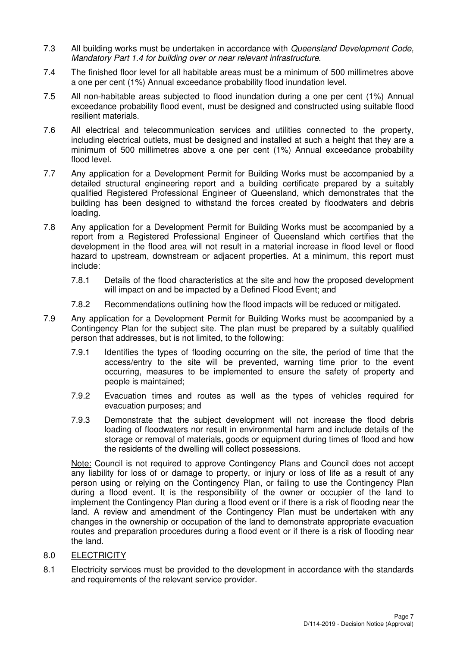- 7.3 All building works must be undertaken in accordance with Queensland Development Code, Mandatory Part 1.4 for building over or near relevant infrastructure.
- 7.4 The finished floor level for all habitable areas must be a minimum of 500 millimetres above a one per cent (1%) Annual exceedance probability flood inundation level.
- 7.5 All non-habitable areas subjected to flood inundation during a one per cent (1%) Annual exceedance probability flood event, must be designed and constructed using suitable flood resilient materials.
- 7.6 All electrical and telecommunication services and utilities connected to the property, including electrical outlets, must be designed and installed at such a height that they are a minimum of 500 millimetres above a one per cent (1%) Annual exceedance probability flood level.
- 7.7 Any application for a Development Permit for Building Works must be accompanied by a detailed structural engineering report and a building certificate prepared by a suitably qualified Registered Professional Engineer of Queensland, which demonstrates that the building has been designed to withstand the forces created by floodwaters and debris loading.
- 7.8 Any application for a Development Permit for Building Works must be accompanied by a report from a Registered Professional Engineer of Queensland which certifies that the development in the flood area will not result in a material increase in flood level or flood hazard to upstream, downstream or adjacent properties. At a minimum, this report must include:
	- 7.8.1 Details of the flood characteristics at the site and how the proposed development will impact on and be impacted by a Defined Flood Event; and
	- 7.8.2 Recommendations outlining how the flood impacts will be reduced or mitigated.
- 7.9 Any application for a Development Permit for Building Works must be accompanied by a Contingency Plan for the subject site. The plan must be prepared by a suitably qualified person that addresses, but is not limited, to the following:
	- 7.9.1 Identifies the types of flooding occurring on the site, the period of time that the access/entry to the site will be prevented, warning time prior to the event occurring, measures to be implemented to ensure the safety of property and people is maintained;
	- 7.9.2 Evacuation times and routes as well as the types of vehicles required for evacuation purposes; and
	- 7.9.3 Demonstrate that the subject development will not increase the flood debris loading of floodwaters nor result in environmental harm and include details of the storage or removal of materials, goods or equipment during times of flood and how the residents of the dwelling will collect possessions.

Note: Council is not required to approve Contingency Plans and Council does not accept any liability for loss of or damage to property, or injury or loss of life as a result of any person using or relying on the Contingency Plan, or failing to use the Contingency Plan during a flood event. It is the responsibility of the owner or occupier of the land to implement the Contingency Plan during a flood event or if there is a risk of flooding near the land. A review and amendment of the Contingency Plan must be undertaken with any changes in the ownership or occupation of the land to demonstrate appropriate evacuation routes and preparation procedures during a flood event or if there is a risk of flooding near the land.

- 8.0 ELECTRICITY
- 8.1 Electricity services must be provided to the development in accordance with the standards and requirements of the relevant service provider.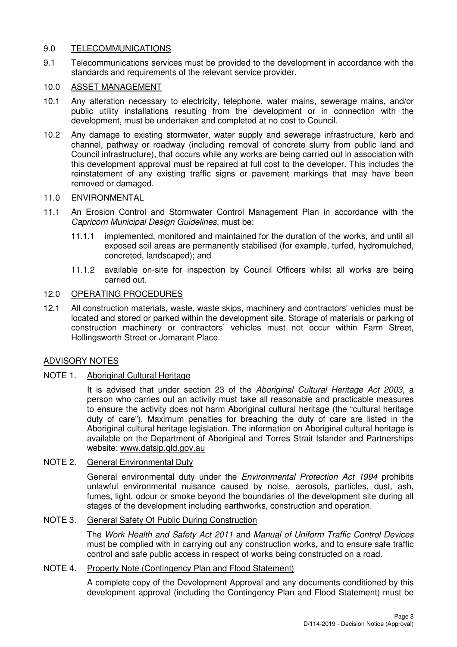# 9.0 TELECOMMUNICATIONS

9.1 Telecommunications services must be provided to the development in accordance with the standards and requirements of the relevant service provider.

# 10.0 ASSET MANAGEMENT

- 10.1 Any alteration necessary to electricity, telephone, water mains, sewerage mains, and/or public utility installations resulting from the development or in connection with the development, must be undertaken and completed at no cost to Council.
- 10.2 Any damage to existing stormwater, water supply and sewerage infrastructure, kerb and channel, pathway or roadway (including removal of concrete slurry from public land and Council infrastructure), that occurs while any works are being carried out in association with this development approval must be repaired at full cost to the developer. This includes the reinstatement of any existing traffic signs or pavement markings that may have been removed or damaged.

# 11.0 ENVIRONMENTAL

- 11.1 An Erosion Control and Stormwater Control Management Plan in accordance with the Capricorn Municipal Design Guidelines, must be:
	- 11.1.1 implemented, monitored and maintained for the duration of the works, and until all exposed soil areas are permanently stabilised (for example, turfed, hydromulched, concreted, landscaped); and
	- 11.1.2 available on-site for inspection by Council Officers whilst all works are being carried out.

# 12.0 OPERATING PROCEDURES

12.1 All construction materials, waste, waste skips, machinery and contractors' vehicles must be located and stored or parked within the development site. Storage of materials or parking of construction machinery or contractors' vehicles must not occur within Farm Street, Hollingsworth Street or Jomarant Place.

# ADVISORY NOTES

# NOTE 1. Aboriginal Cultural Heritage

It is advised that under section 23 of the Aboriginal Cultural Heritage Act 2003, a person who carries out an activity must take all reasonable and practicable measures to ensure the activity does not harm Aboriginal cultural heritage (the "cultural heritage duty of care"). Maximum penalties for breaching the duty of care are listed in the Aboriginal cultural heritage legislation. The information on Aboriginal cultural heritage is available on the Department of Aboriginal and Torres Strait Islander and Partnerships website: www.datsip.qld.gov.au

# NOTE 2. General Environmental Duty

General environmental duty under the Environmental Protection Act 1994 prohibits unlawful environmental nuisance caused by noise, aerosols, particles, dust, ash, fumes, light, odour or smoke beyond the boundaries of the development site during all stages of the development including earthworks, construction and operation.

# NOTE 3. General Safety Of Public During Construction

The Work Health and Safety Act 2011 and Manual of Uniform Traffic Control Devices must be complied with in carrying out any construction works, and to ensure safe traffic control and safe public access in respect of works being constructed on a road.

# NOTE 4. Property Note (Contingency Plan and Flood Statement)

A complete copy of the Development Approval and any documents conditioned by this development approval (including the Contingency Plan and Flood Statement) must be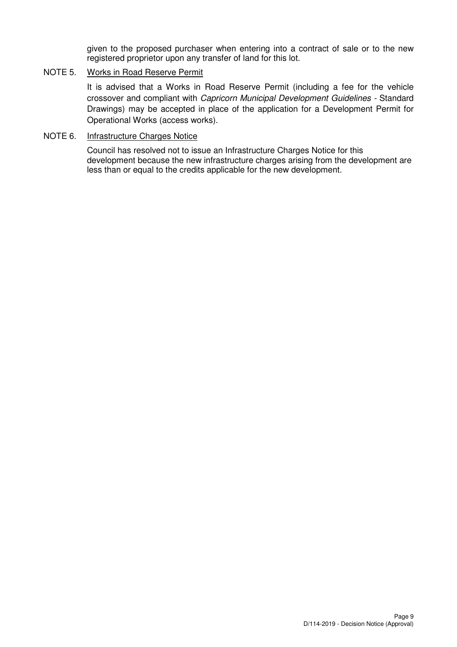given to the proposed purchaser when entering into a contract of sale or to the new registered proprietor upon any transfer of land for this lot.

# NOTE 5. Works in Road Reserve Permit

It is advised that a Works in Road Reserve Permit (including a fee for the vehicle crossover and compliant with Capricorn Municipal Development Guidelines - Standard Drawings) may be accepted in place of the application for a Development Permit for Operational Works (access works).

#### NOTE 6. Infrastructure Charges Notice

Council has resolved not to issue an Infrastructure Charges Notice for this development because the new infrastructure charges arising from the development are less than or equal to the credits applicable for the new development.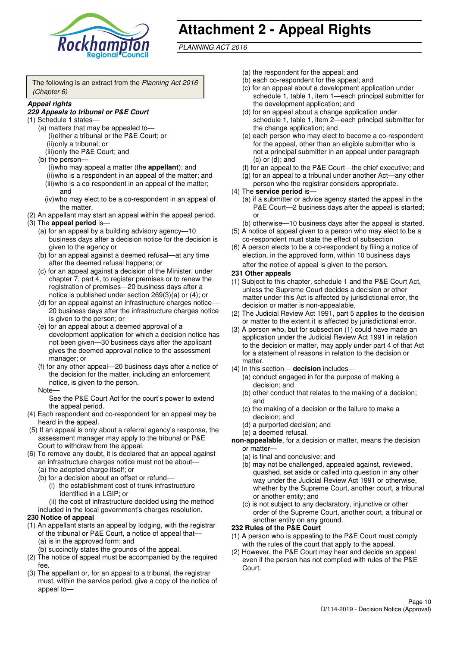

# **Attachment 2 - Appeal Rights**

PLANNING ACT 2016

The following is an extract from the Planning Act 2016 (Chapter 6)

#### **Appeal rights**

#### **229 Appeals to tribunal or P&E Court**

- (1) Schedule 1 states—
	- (a) matters that may be appealed to— (i) either a tribunal or the P&E Court; or (ii) only a tribunal; or
	- (iii) only the P&E Court; and (b) the person—

(i) who may appeal a matter (the **appellant**); and (ii) who is a respondent in an appeal of the matter; and (iii) who is a co-respondent in an appeal of the matter; and

- (iv) who may elect to be a co-respondent in an appeal of the matter.
- (2) An appellant may start an appeal within the appeal period.
- (3) The **appeal period** is—
	- (a) for an appeal by a building advisory agency—10 business days after a decision notice for the decision is given to the agency or
	- (b) for an appeal against a deemed refusal—at any time after the deemed refusal happens; or
	- (c) for an appeal against a decision of the Minister, under chapter 7, part 4, to register premises or to renew the registration of premises—20 business days after a notice is published under section 269(3)(a) or (4); or
	- (d) for an appeal against an infrastructure charges notice— 20 business days after the infrastructure charges notice is given to the person; or
	- (e) for an appeal about a deemed approval of a development application for which a decision notice has not been given—30 business days after the applicant gives the deemed approval notice to the assessment manager; or
	- (f) for any other appeal—20 business days after a notice of the decision for the matter, including an enforcement notice, is given to the person.

#### Note—

See the P&E Court Act for the court's power to extend the appeal period.

- (4) Each respondent and co-respondent for an appeal may be heard in the appeal.
- (5) If an appeal is only about a referral agency's response, the assessment manager may apply to the tribunal or P&E Court to withdraw from the appeal.
- (6) To remove any doubt, it is declared that an appeal against an infrastructure charges notice must not be about—
	- (a) the adopted charge itself; or
	- (b) for a decision about an offset or refund—
		- (i) the establishment cost of trunk infrastructure identified in a LGIP; or
		- (ii) the cost of infrastructure decided using the method
	- included in the local government's charges resolution.

#### **230 Notice of appeal**

- (1) An appellant starts an appeal by lodging, with the registrar of the tribunal or P&E Court, a notice of appeal that—
	- (a) is in the approved form; and
	- (b) succinctly states the grounds of the appeal.
- (2) The notice of appeal must be accompanied by the required fee.
- (3) The appellant or, for an appeal to a tribunal, the registrar must, within the service period, give a copy of the notice of appeal to—
- (a) the respondent for the appeal; and
- (b) each co-respondent for the appeal; and
- (c) for an appeal about a development application under schedule 1, table 1, item 1—each principal submitter for the development application; and
- (d) for an appeal about a change application under schedule 1, table 1, item 2—each principal submitter for the change application; and
- (e) each person who may elect to become a co-respondent for the appeal, other than an eligible submitter who is not a principal submitter in an appeal under paragraph  $(c)$  or  $(d)$ ; and
- (f) for an appeal to the P&E Court—the chief executive; and
- (g) for an appeal to a tribunal under another Act—any other person who the registrar considers appropriate.
- (4) The **service period** is—
	- (a) if a submitter or advice agency started the appeal in the P&E Court-2 business days after the appeal is started; or
	- (b) otherwise—10 business days after the appeal is started.
- (5) A notice of appeal given to a person who may elect to be a co-respondent must state the effect of subsection
- (6) A person elects to be a co-respondent by filing a notice of election, in the approved form, within 10 business days after the notice of appeal is given to the person*.*
- **231 Other appeals**
- (1) Subject to this chapter, schedule 1 and the P&E Court Act, unless the Supreme Court decides a decision or other matter under this Act is affected by jurisdictional error, the decision or matter is non-appealable.
- (2) The Judicial Review Act 1991, part 5 applies to the decision or matter to the extent it is affected by jurisdictional error.
- (3) A person who, but for subsection (1) could have made an application under the Judicial Review Act 1991 in relation to the decision or matter, may apply under part 4 of that Act for a statement of reasons in relation to the decision or matter.
- (4) In this section— **decision** includes—
	- (a) conduct engaged in for the purpose of making a decision; and
	- (b) other conduct that relates to the making of a decision; and
	- (c) the making of a decision or the failure to make a decision; and
	- (d) a purported decision; and
	- (e) a deemed refusal.

**non-appealable**, for a decision or matter, means the decision or matter—

- (a) is final and conclusive; and
- (b) may not be challenged, appealed against, reviewed, quashed, set aside or called into question in any other way under the Judicial Review Act 1991 or otherwise, whether by the Supreme Court, another court, a tribunal or another entity; and
- (c) is not subject to any declaratory, injunctive or other order of the Supreme Court, another court, a tribunal or another entity on any ground.

#### **232 Rules of the P&E Court**

- (1) A person who is appealing to the P&E Court must comply with the rules of the court that apply to the appeal.
- (2) However, the P&E Court may hear and decide an appeal even if the person has not complied with rules of the P&E Court.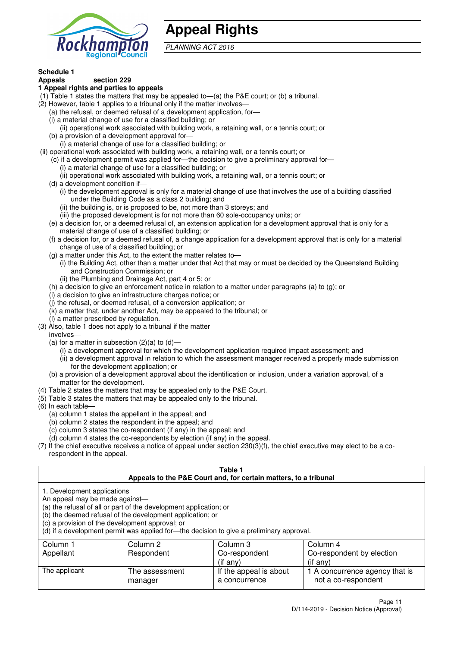

# **Appeal Rights**

PLANNING ACT 2016

# **Schedule 1**

#### **Appeals section 229 1 Appeal rights and parties to appeals**

- (1) Table 1 states the matters that may be appealed to—(a) the P&E court; or (b) a tribunal.
- (2) However, table 1 applies to a tribunal only if the matter involves—
	- (a) the refusal, or deemed refusal of a development application, for—
	- (i) a material change of use for a classified building; or
	- (ii) operational work associated with building work, a retaining wall, or a tennis court; or
	- (b) a provision of a development approval for—
	- (i) a material change of use for a classified building; or
- (ii) operational work associated with building work, a retaining wall, or a tennis court; or
	- (c) if a development permit was applied for—the decision to give a preliminary approval for—
		- (i) a material change of use for a classified building; or
	- (ii) operational work associated with building work, a retaining wall, or a tennis court; or
	- (d) a development condition if—
		- (i) the development approval is only for a material change of use that involves the use of a building classified under the Building Code as a class 2 building; and
		- (ii) the building is, or is proposed to be, not more than 3 storeys; and
		- (iii) the proposed development is for not more than 60 sole-occupancy units; or
	- (e) a decision for, or a deemed refusal of, an extension application for a development approval that is only for a material change of use of a classified building; or
	- (f) a decision for, or a deemed refusal of, a change application for a development approval that is only for a material change of use of a classified building; or
	- (g) a matter under this Act, to the extent the matter relates to—
		- (i) the Building Act, other than a matter under that Act that may or must be decided by the Queensland Building and Construction Commission; or
		- (ii) the Plumbing and Drainage Act, part 4 or 5; or
	- (h) a decision to give an enforcement notice in relation to a matter under paragraphs (a) to (g); or
	- (i) a decision to give an infrastructure charges notice; or
	- (j) the refusal, or deemed refusal, of a conversion application; or
	- (k) a matter that, under another Act, may be appealed to the tribunal; or
	- (l) a matter prescribed by regulation.
- (3) Also, table 1 does not apply to a tribunal if the matter

involves—

- (a) for a matter in subsection  $(2)(a)$  to  $(d)$ 
	- (i) a development approval for which the development application required impact assessment; and
	- (ii) a development approval in relation to which the assessment manager received a properly made submission for the development application; or
- (b) a provision of a development approval about the identification or inclusion, under a variation approval, of a matter for the development.
- (4) Table 2 states the matters that may be appealed only to the P&E Court.
- (5) Table 3 states the matters that may be appealed only to the tribunal.
- (6) In each table—
	- (a) column 1 states the appellant in the appeal; and
	- (b) column 2 states the respondent in the appeal; and
	- (c) column 3 states the co-respondent (if any) in the appeal; and
- (d) column 4 states the co-respondents by election (if any) in the appeal.
- (7) If the chief executive receives a notice of appeal under section 230(3)(f), the chief executive may elect to be a corespondent in the appeal.

| Table 1<br>Appeals to the P&E Court and, for certain matters, to a tribunal                                                                                                                                                                                                                                                                    |                                  |                                         |                                                       |  |  |
|------------------------------------------------------------------------------------------------------------------------------------------------------------------------------------------------------------------------------------------------------------------------------------------------------------------------------------------------|----------------------------------|-----------------------------------------|-------------------------------------------------------|--|--|
| 1. Development applications<br>An appeal may be made against-<br>(a) the refusal of all or part of the development application; or<br>(b) the deemed refusal of the development application; or<br>(c) a provision of the development approval; or<br>(d) if a development permit was applied for-the decision to give a preliminary approval. |                                  |                                         |                                                       |  |  |
| Column 1                                                                                                                                                                                                                                                                                                                                       | Column 3<br>Column 4<br>Column 2 |                                         |                                                       |  |  |
| Appellant                                                                                                                                                                                                                                                                                                                                      | Respondent                       | Co-respondent                           | Co-respondent by election                             |  |  |
|                                                                                                                                                                                                                                                                                                                                                | $($ if any $)$<br>(if any)       |                                         |                                                       |  |  |
| The applicant                                                                                                                                                                                                                                                                                                                                  | The assessment<br>manager        | If the appeal is about<br>a concurrence | 1 A concurrence agency that is<br>not a co-respondent |  |  |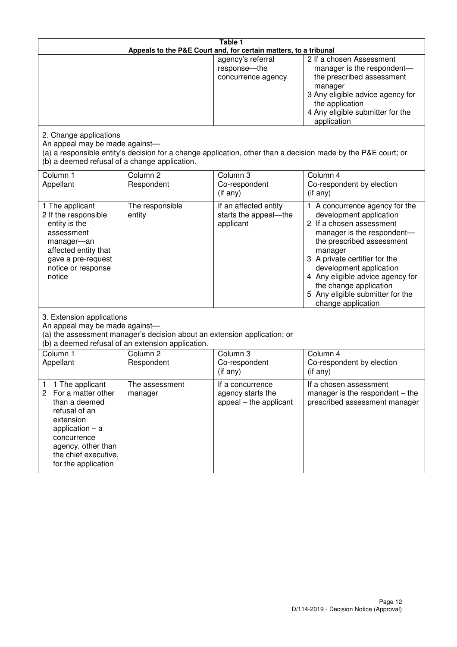| Table 1<br>Appeals to the P&E Court and, for certain matters, to a tribunal                                                                                                                             |                                                                                                                               |                                                                 |                                                                                                                                                                                                                                                                                                                                                 |
|---------------------------------------------------------------------------------------------------------------------------------------------------------------------------------------------------------|-------------------------------------------------------------------------------------------------------------------------------|-----------------------------------------------------------------|-------------------------------------------------------------------------------------------------------------------------------------------------------------------------------------------------------------------------------------------------------------------------------------------------------------------------------------------------|
|                                                                                                                                                                                                         |                                                                                                                               | agency's referral<br>response-the<br>concurrence agency         | 2 If a chosen Assessment<br>manager is the respondent-<br>the prescribed assessment<br>manager<br>3 Any eligible advice agency for<br>the application<br>4 Any eligible submitter for the<br>application                                                                                                                                        |
| 2. Change applications<br>An appeal may be made against-<br>(b) a deemed refusal of a change application.                                                                                               |                                                                                                                               |                                                                 | (a) a responsible entity's decision for a change application, other than a decision made by the P&E court; or                                                                                                                                                                                                                                   |
| Column 1<br>Appellant                                                                                                                                                                                   | Column <sub>2</sub><br>Respondent                                                                                             | Column 3<br>Co-respondent<br>$($ if any $)$                     | Column 4<br>Co-respondent by election<br>$(if$ any)                                                                                                                                                                                                                                                                                             |
| 1 The applicant<br>2 If the responsible<br>entity is the<br>assessment<br>manager-an<br>affected entity that<br>gave a pre-request<br>notice or response<br>notice                                      | The responsible<br>entity                                                                                                     | If an affected entity<br>starts the appeal-the<br>applicant     | 1 A concurrence agency for the<br>development application<br>2 If a chosen assessment<br>manager is the respondent-<br>the prescribed assessment<br>manager<br>3 A private certifier for the<br>development application<br>4 Any eligible advice agency for<br>the change application<br>5 Any eligible submitter for the<br>change application |
| 3. Extension applications<br>An appeal may be made against-                                                                                                                                             | (a) the assessment manager's decision about an extension application; or<br>(b) a deemed refusal of an extension application. |                                                                 |                                                                                                                                                                                                                                                                                                                                                 |
| Column 1<br>Appellant                                                                                                                                                                                   | Column <sub>2</sub><br>Respondent                                                                                             | Column 3<br>Co-respondent<br>(if any)                           | Column $\overline{4}$<br>Co-respondent by election<br>(if any)                                                                                                                                                                                                                                                                                  |
| 1 The applicant<br>1<br>2<br>For a matter other<br>than a deemed<br>refusal of an<br>extension<br>application $-$ a<br>concurrence<br>agency, other than<br>the chief executive,<br>for the application | The assessment<br>manager                                                                                                     | If a concurrence<br>agency starts the<br>appeal – the applicant | If a chosen assessment<br>manager is the respondent $-$ the<br>prescribed assessment manager                                                                                                                                                                                                                                                    |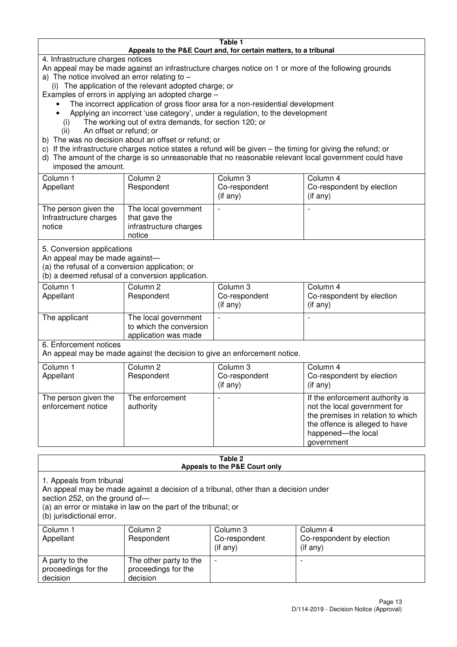#### **Table 1 Appeals to the P&E Court and, for certain matters, to a tribunal**

4. Infrastructure charges notices

- An appeal may be made against an infrastructure charges notice on 1 or more of the following grounds
- a) The notice involved an error relating to
	- (i) The application of the relevant adopted charge; or
- Examples of errors in applying an adopted charge
	- The incorrect application of gross floor area for a non-residential development
	- Applying an incorrect 'use category', under a regulation, to the development
	- (i) The working out of extra demands, for section 120; or
	- (ii) An offset or refund; or
- b) The was no decision about an offset or refund; or
- c) If the infrastructure charges notice states a refund will be given the timing for giving the refund; or
- d) The amount of the charge is so unreasonable that no reasonable relevant local government could have

# imposed the amount.

| Column 1<br>Appellant                                    | Column 2<br>Respondent                                                    | Column 3<br>Co-respondent<br>(if any) | Column 4<br>Co-respondent by election<br>$($ if any $)$ |
|----------------------------------------------------------|---------------------------------------------------------------------------|---------------------------------------|---------------------------------------------------------|
| The person given the<br>Infrastructure charges<br>notice | The local government<br>that gave the<br>infrastructure charges<br>notice |                                       |                                                         |

5. Conversion applications

An appeal may be made against—

(a) the refusal of a conversion application; or

(b) a deemed refusal of a conversion application.

| Column 1<br>Appellant | Column 2<br>Respondent                                                  | Column 3<br>Co-respondent<br>$($ if any $)$ | Column 4<br>Co-respondent by election<br>$($ if any $)$ |
|-----------------------|-------------------------------------------------------------------------|---------------------------------------------|---------------------------------------------------------|
| The applicant         | The local government<br>to which the conversion<br>application was made |                                             |                                                         |

6. Enforcement notices

An appeal may be made against the decision to give an enforcement notice.

| Column 1                                   | Column 2                     | Column 3       | Column 4                                                                                                                                                                   |
|--------------------------------------------|------------------------------|----------------|----------------------------------------------------------------------------------------------------------------------------------------------------------------------------|
| Appellant                                  | Respondent                   | Co-respondent  | Co-respondent by election                                                                                                                                                  |
|                                            |                              | $($ if any $)$ | (if any)                                                                                                                                                                   |
| The person given the<br>enforcement notice | The enforcement<br>authority |                | If the enforcement authority is<br>not the local government for<br>the premises in relation to which<br>the offence is alleged to have<br>happened-the local<br>government |

#### **Table 2 Appeals to the P&E Court only**

1. Appeals from tribunal

An appeal may be made against a decision of a tribunal, other than a decision under

section 252, on the ground of-

(a) an error or mistake in law on the part of the tribunal; or

(b) jurisdictional error.

| Column 1<br>Appellant                             | Column 2<br>Respondent                                    | Column 3<br>Co-respondent<br>$($ if any $)$ | Column 4<br>Co-respondent by election<br>(i f any) |
|---------------------------------------------------|-----------------------------------------------------------|---------------------------------------------|----------------------------------------------------|
| A party to the<br>proceedings for the<br>decision | The other party to the<br>proceedings for the<br>decision | $\overline{\phantom{0}}$                    |                                                    |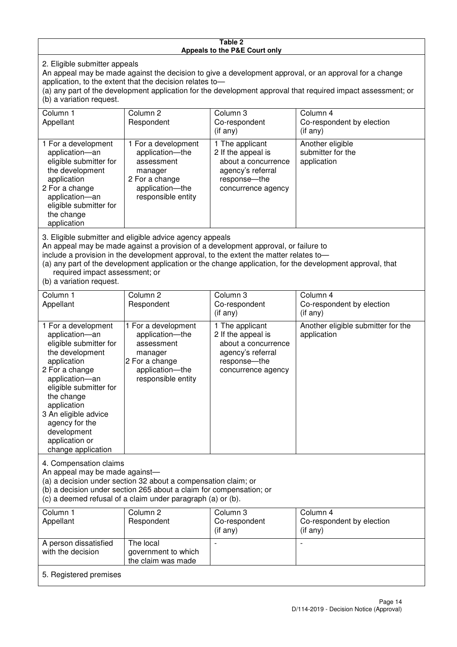#### **Table 2 Appeals to the P&E Court only**

2. Eligible submitter appeals

An appeal may be made against the decision to give a development approval, or an approval for a change application, to the extent that the decision relates to—

(a) any part of the development application for the development approval that required impact assessment; or (b) a variation request.

| Column 1<br>Appellant                                                                                                                                                                                                                                                                                                                                | Column <sub>2</sub><br>Respondent                                                                                          | Column 3<br>Co-respondent                                                                                                 | Column 4<br>Co-respondent by election                |  |
|------------------------------------------------------------------------------------------------------------------------------------------------------------------------------------------------------------------------------------------------------------------------------------------------------------------------------------------------------|----------------------------------------------------------------------------------------------------------------------------|---------------------------------------------------------------------------------------------------------------------------|------------------------------------------------------|--|
|                                                                                                                                                                                                                                                                                                                                                      |                                                                                                                            | $($ if any $)$                                                                                                            | (i f any)                                            |  |
| 1 For a development<br>application-an<br>eligible submitter for<br>the development<br>application<br>2 For a change<br>application-an<br>eligible submitter for<br>the change<br>application                                                                                                                                                         | 1 For a development<br>application-the<br>assessment<br>manager<br>2 For a change<br>application-the<br>responsible entity | 1 The applicant<br>2 If the appeal is<br>about a concurrence<br>agency's referral<br>response---the<br>concurrence agency | Another eligible<br>submitter for the<br>application |  |
| 3. Eligible submitter and eligible advice agency appeals<br>An appeal may be made against a provision of a development approval, or failure to<br>include a provision in the development approval, to the extent the matter relates to-<br>(a) any part of the development application or the change application, for the development approval, that |                                                                                                                            |                                                                                                                           |                                                      |  |

required impact assessment; or

(b) a variation request.

| Column 1                                                                                                                                                                                                                                                                                      | Column <sub>2</sub>                                                                                                        | Column 3                                                                                                                 | Column 4                                          |  |
|-----------------------------------------------------------------------------------------------------------------------------------------------------------------------------------------------------------------------------------------------------------------------------------------------|----------------------------------------------------------------------------------------------------------------------------|--------------------------------------------------------------------------------------------------------------------------|---------------------------------------------------|--|
| Appellant                                                                                                                                                                                                                                                                                     | Respondent                                                                                                                 | Co-respondent                                                                                                            | Co-respondent by election                         |  |
|                                                                                                                                                                                                                                                                                               |                                                                                                                            | $($ if any $)$                                                                                                           | (i f any)                                         |  |
| 1 For a development<br>application-an<br>eligible submitter for<br>the development<br>application<br>2 For a change<br>application-an<br>eligible submitter for<br>the change<br>application<br>3 An eligible advice<br>agency for the<br>development<br>application or<br>change application | 1 For a development<br>application-the<br>assessment<br>manager<br>2 For a change<br>application-the<br>responsible entity | 1 The applicant<br>2 If the appeal is<br>about a concurrence<br>agency's referral<br>response--the<br>concurrence agency | Another eligible submitter for the<br>application |  |
| 4. Compensation claims<br>An appeal may be made against-<br>(a) a decision under section 32 about a compensation claim; or<br>(b) a decision under section 265 about a claim for compensation; or<br>(c) a deemed refusal of a claim under paragraph (a) or (b).                              |                                                                                                                            |                                                                                                                          |                                                   |  |
| Column 1<br>Appellant                                                                                                                                                                                                                                                                         | Column 2<br>Respondent                                                                                                     | Column 3<br>Co-respondent<br>(if any)                                                                                    | Column 4<br>Co-respondent by election<br>(if any) |  |

|                                            |                                                        | $($ if any $)$           | $($ if any $)$ |
|--------------------------------------------|--------------------------------------------------------|--------------------------|----------------|
| A person dissatisfied<br>with the decision | The local<br>government to which<br>the claim was made | $\overline{\phantom{0}}$ |                |
|                                            |                                                        |                          |                |

#### 5. Registered premises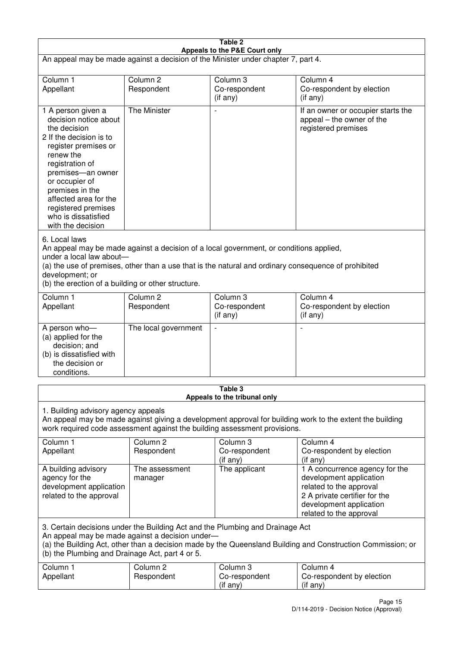| Table 2                                                                                                                                                                                                                                                                                                              |                                   |                                       |                                                                                                                                                                             |
|----------------------------------------------------------------------------------------------------------------------------------------------------------------------------------------------------------------------------------------------------------------------------------------------------------------------|-----------------------------------|---------------------------------------|-----------------------------------------------------------------------------------------------------------------------------------------------------------------------------|
| Appeals to the P&E Court only<br>An appeal may be made against a decision of the Minister under chapter 7, part 4.                                                                                                                                                                                                   |                                   |                                       |                                                                                                                                                                             |
|                                                                                                                                                                                                                                                                                                                      |                                   |                                       |                                                                                                                                                                             |
| Column 1<br>Appellant                                                                                                                                                                                                                                                                                                | Column <sub>2</sub><br>Respondent | Column 3<br>Co-respondent             | Column 4<br>Co-respondent by election                                                                                                                                       |
|                                                                                                                                                                                                                                                                                                                      |                                   | (if any)                              | (i f any)                                                                                                                                                                   |
| 1 A person given a<br>decision notice about<br>the decision<br>2 If the decision is to<br>register premises or<br>renew the<br>registration of<br>premises-an owner<br>or occupier of<br>premises in the<br>affected area for the<br>registered premises<br>who is dissatisfied<br>with the decision                 | <b>The Minister</b>               | $\overline{\phantom{a}}$              | If an owner or occupier starts the<br>appeal – the owner of the<br>registered premises                                                                                      |
| 6. Local laws<br>An appeal may be made against a decision of a local government, or conditions applied,<br>under a local law about-<br>(a) the use of premises, other than a use that is the natural and ordinary consequence of prohibited<br>development; or<br>(b) the erection of a building or other structure. |                                   |                                       |                                                                                                                                                                             |
| Column 1                                                                                                                                                                                                                                                                                                             | Column <sub>2</sub>               | Column 3                              | Column 4                                                                                                                                                                    |
| Appellant                                                                                                                                                                                                                                                                                                            | Respondent                        | Co-respondent<br>(if any)             | Co-respondent by election<br>(if any)                                                                                                                                       |
| A person who-<br>(a) applied for the<br>decision; and<br>(b) is dissatisfied with<br>the decision or<br>conditions.                                                                                                                                                                                                  | The local government              | $\overline{a}$                        |                                                                                                                                                                             |
|                                                                                                                                                                                                                                                                                                                      |                                   | Table 3                               |                                                                                                                                                                             |
| Appeals to the tribunal only<br>1. Building advisory agency appeals<br>An appeal may be made against giving a development approval for building work to the extent the building<br>work required code assessment against the building assessment provisions.                                                         |                                   |                                       |                                                                                                                                                                             |
| Column 1<br>Appellant                                                                                                                                                                                                                                                                                                | Column <sub>2</sub><br>Respondent | Column 3<br>Co-respondent<br>(if any) | Column 4<br>Co-respondent by election<br>(if any)                                                                                                                           |
| A building advisory<br>agency for the<br>development application<br>related to the approval                                                                                                                                                                                                                          | The assessment<br>manager         | The applicant                         | 1 A concurrence agency for the<br>development application<br>related to the approval<br>2 A private certifier for the<br>development application<br>related to the approval |
| 3. Certain decisions under the Building Act and the Plumbing and Drainage Act<br>An appeal may be made against a decision under-<br>(a) the Building Act, other than a decision made by the Queensland Building and Construction Commission; or<br>(b) the Plumbing and Drainage Act, part 4 or 5.                   |                                   |                                       |                                                                                                                                                                             |
| Column 1<br>Appellant                                                                                                                                                                                                                                                                                                | Column <sub>2</sub><br>Respondent | Column 3<br>Co-respondent<br>(if any) | Column 4<br>Co-respondent by election<br>(if any)                                                                                                                           |